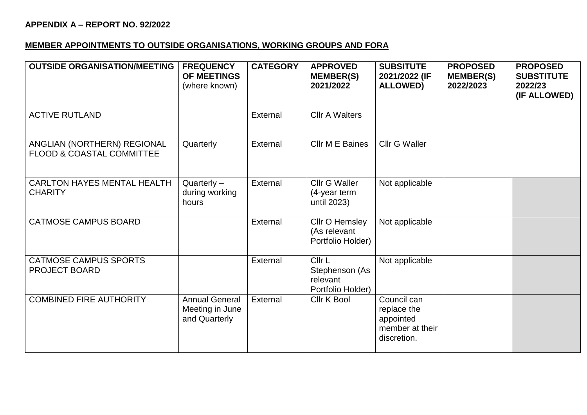## **APPENDIX A – REPORT NO. 92/2022**

## **MEMBER APPOINTMENTS TO OUTSIDE ORGANISATIONS, WORKING GROUPS AND FORA**

| <b>OUTSIDE ORGANISATION/MEETING</b>                                 | <b>FREQUENCY</b><br><b>OF MEETINGS</b><br>(where known)   | <b>CATEGORY</b> | <b>APPROVED</b><br><b>MEMBER(S)</b><br>2021/2022          | <b>SUBSITUTE</b><br>2021/2022 (IF<br><b>ALLOWED)</b>                      | <b>PROPOSED</b><br><b>MEMBER(S)</b><br>2022/2023 | <b>PROPOSED</b><br><b>SUBSTITUTE</b><br>2022/23<br>(IF ALLOWED) |
|---------------------------------------------------------------------|-----------------------------------------------------------|-----------------|-----------------------------------------------------------|---------------------------------------------------------------------------|--------------------------------------------------|-----------------------------------------------------------------|
| <b>ACTIVE RUTLAND</b>                                               |                                                           | External        | <b>Cllr A Walters</b>                                     |                                                                           |                                                  |                                                                 |
| ANGLIAN (NORTHERN) REGIONAL<br><b>FLOOD &amp; COASTAL COMMITTEE</b> | Quarterly                                                 | External        | Cllr M E Baines                                           | <b>Cllr G Waller</b>                                                      |                                                  |                                                                 |
| <b>CARLTON HAYES MENTAL HEALTH</b><br><b>CHARITY</b>                | $Quarterly -$<br>during working<br>hours                  | External        | Cllr G Waller<br>(4-year term<br>until 2023)              | Not applicable                                                            |                                                  |                                                                 |
| <b>CATMOSE CAMPUS BOARD</b>                                         |                                                           | External        | Cllr O Hemsley<br>(As relevant<br>Portfolio Holder)       | Not applicable                                                            |                                                  |                                                                 |
| <b>CATMOSE CAMPUS SPORTS</b><br><b>PROJECT BOARD</b>                |                                                           | External        | Cllr L<br>Stephenson (As<br>relevant<br>Portfolio Holder) | Not applicable                                                            |                                                  |                                                                 |
| <b>COMBINED FIRE AUTHORITY</b>                                      | <b>Annual General</b><br>Meeting in June<br>and Quarterly | External        | Cllr K Bool                                               | Council can<br>replace the<br>appointed<br>member at their<br>discretion. |                                                  |                                                                 |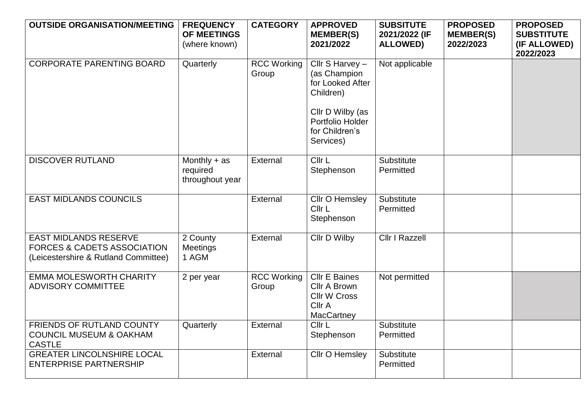| <b>OUTSIDE ORGANISATION/MEETING</b>                                                                            | <b>FREQUENCY</b><br>OF MEETINGS<br>(where known) | <b>CATEGORY</b>             | <b>APPROVED</b><br><b>MEMBER(S)</b><br>2021/2022                                                                                        | <b>SUBSITUTE</b><br>2021/2022 (IF<br><b>ALLOWED)</b> | <b>PROPOSED</b><br><b>MEMBER(S)</b><br>2022/2023 | <b>PROPOSED</b><br><b>SUBSTITUTE</b><br>(IF ALLOWED)<br>2022/2023 |
|----------------------------------------------------------------------------------------------------------------|--------------------------------------------------|-----------------------------|-----------------------------------------------------------------------------------------------------------------------------------------|------------------------------------------------------|--------------------------------------------------|-------------------------------------------------------------------|
| <b>CORPORATE PARENTING BOARD</b>                                                                               | Quarterly                                        | <b>RCC Working</b><br>Group | Cllr S Harvey -<br>(as Champion<br>for Looked After<br>Children)<br>Cllr D Wilby (as<br>Portfolio Holder<br>for Children's<br>Services) | Not applicable                                       |                                                  |                                                                   |
| <b>DISCOVER RUTLAND</b>                                                                                        | Monthly $+$ as<br>required<br>throughout year    | External                    | Cllr L<br>Stephenson                                                                                                                    | Substitute<br>Permitted                              |                                                  |                                                                   |
| <b>EAST MIDLANDS COUNCILS</b>                                                                                  |                                                  | External                    | Cllr O Hemsley<br>Cllr L<br>Stephenson                                                                                                  | Substitute<br>Permitted                              |                                                  |                                                                   |
| <b>EAST MIDLANDS RESERVE</b><br><b>FORCES &amp; CADETS ASSOCIATION</b><br>(Leicestershire & Rutland Committee) | 2 County<br>Meetings<br>1 AGM                    | External                    | <b>Cllr D Wilby</b>                                                                                                                     | <b>Cllr I Razzell</b>                                |                                                  |                                                                   |
| <b>EMMA MOLESWORTH CHARITY</b><br><b>ADVISORY COMMITTEE</b>                                                    | 2 per year                                       | <b>RCC Working</b><br>Group | <b>Cllr E Baines</b><br>Cllr A Brown<br><b>Cllr W Cross</b><br>Cllr A<br>MacCartney                                                     | Not permitted                                        |                                                  |                                                                   |
| FRIENDS OF RUTLAND COUNTY<br><b>COUNCIL MUSEUM &amp; OAKHAM</b><br><b>CASTLE</b>                               | Quarterly                                        | External                    | Cllr L<br>Stephenson                                                                                                                    | Substitute<br>Permitted                              |                                                  |                                                                   |
| <b>GREATER LINCOLNSHIRE LOCAL</b><br><b>ENTERPRISE PARTNERSHIP</b>                                             |                                                  | External                    | Cllr O Hemsley                                                                                                                          | Substitute<br>Permitted                              |                                                  |                                                                   |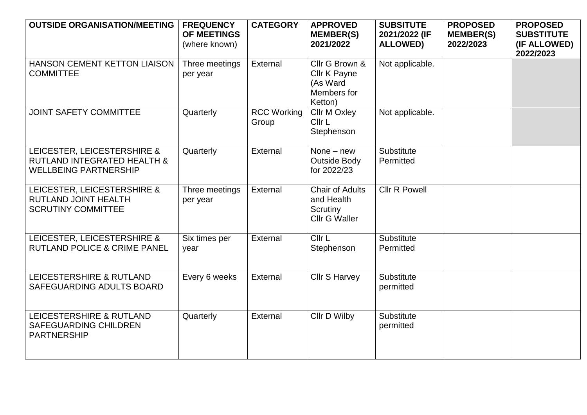| <b>OUTSIDE ORGANISATION/MEETING</b>                                                                   | <b>FREQUENCY</b><br><b>OF MEETINGS</b><br>(where known) | <b>CATEGORY</b>             | <b>APPROVED</b><br><b>MEMBER(S)</b><br>2021/2022                         | <b>SUBSITUTE</b><br>2021/2022 (IF<br><b>ALLOWED)</b> | <b>PROPOSED</b><br><b>MEMBER(S)</b><br>2022/2023 | <b>PROPOSED</b><br><b>SUBSTITUTE</b><br>(IF ALLOWED)<br>2022/2023 |
|-------------------------------------------------------------------------------------------------------|---------------------------------------------------------|-----------------------------|--------------------------------------------------------------------------|------------------------------------------------------|--------------------------------------------------|-------------------------------------------------------------------|
| <b>HANSON CEMENT KETTON LIAISON</b><br><b>COMMITTEE</b>                                               | Three meetings<br>per year                              | External                    | Cllr G Brown &<br>Cllr K Payne<br>(As Ward<br>Members for<br>Ketton)     | Not applicable.                                      |                                                  |                                                                   |
| <b>JOINT SAFETY COMMITTEE</b>                                                                         | Quarterly                                               | <b>RCC</b> Working<br>Group | <b>Cllr M Oxley</b><br>Cllr L<br>Stephenson                              | Not applicable.                                      |                                                  |                                                                   |
| LEICESTER, LEICESTERSHIRE &<br><b>RUTLAND INTEGRATED HEALTH &amp;</b><br><b>WELLBEING PARTNERSHIP</b> | Quarterly                                               | External                    | None $-$ new<br><b>Outside Body</b><br>for 2022/23                       | Substitute<br>Permitted                              |                                                  |                                                                   |
| LEICESTER, LEICESTERSHIRE &<br>RUTLAND JOINT HEALTH<br><b>SCRUTINY COMMITTEE</b>                      | Three meetings<br>per year                              | External                    | <b>Chair of Adults</b><br>and Health<br>Scrutiny<br><b>Cllr G Waller</b> | <b>Cllr R Powell</b>                                 |                                                  |                                                                   |
| LEICESTER, LEICESTERSHIRE &<br><b>RUTLAND POLICE &amp; CRIME PANEL</b>                                | Six times per<br>year                                   | External                    | Cllr L<br>Stephenson                                                     | Substitute<br>Permitted                              |                                                  |                                                                   |
| LEICESTERSHIRE & RUTLAND<br>SAFEGUARDING ADULTS BOARD                                                 | Every 6 weeks                                           | External                    | <b>Cllr S Harvey</b>                                                     | Substitute<br>permitted                              |                                                  |                                                                   |
| LEICESTERSHIRE & RUTLAND<br><b>SAFEGUARDING CHILDREN</b><br><b>PARTNERSHIP</b>                        | Quarterly                                               | External                    | Cllr D Wilby                                                             | Substitute<br>permitted                              |                                                  |                                                                   |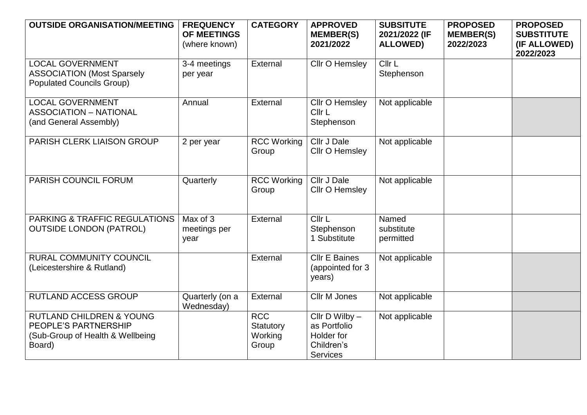| <b>OUTSIDE ORGANISATION/MEETING</b>                                                                       | <b>FREQUENCY</b><br><b>OF MEETINGS</b><br>(where known) | <b>CATEGORY</b>                             | <b>APPROVED</b><br><b>MEMBER(S)</b><br>2021/2022                                  | <b>SUBSITUTE</b><br>2021/2022 (IF<br><b>ALLOWED)</b> | <b>PROPOSED</b><br><b>MEMBER(S)</b><br>2022/2023 | <b>PROPOSED</b><br><b>SUBSTITUTE</b><br>(IF ALLOWED)<br>2022/2023 |
|-----------------------------------------------------------------------------------------------------------|---------------------------------------------------------|---------------------------------------------|-----------------------------------------------------------------------------------|------------------------------------------------------|--------------------------------------------------|-------------------------------------------------------------------|
| <b>LOCAL GOVERNMENT</b><br><b>ASSOCIATION (Most Sparsely</b><br><b>Populated Councils Group)</b>          | 3-4 meetings<br>per year                                | External                                    | Cllr O Hemsley                                                                    | Cllr L<br>Stephenson                                 |                                                  |                                                                   |
| <b>LOCAL GOVERNMENT</b><br><b>ASSOCIATION - NATIONAL</b><br>(and General Assembly)                        | Annual                                                  | External                                    | Cllr O Hemsley<br>Cllr L<br>Stephenson                                            | Not applicable                                       |                                                  |                                                                   |
| PARISH CLERK LIAISON GROUP                                                                                | 2 per year                                              | <b>RCC Working</b><br>Group                 | Cllr J Dale<br><b>Cllr O Hemsley</b>                                              | Not applicable                                       |                                                  |                                                                   |
| PARISH COUNCIL FORUM                                                                                      | Quarterly                                               | <b>RCC Working</b><br>Group                 | Cllr J Dale<br>Cllr O Hemsley                                                     | Not applicable                                       |                                                  |                                                                   |
| <b>PARKING &amp; TRAFFIC REGULATIONS</b><br><b>OUTSIDE LONDON (PATROL)</b>                                | Max of 3<br>meetings per<br>year                        | External                                    | Cllr L<br>Stephenson<br>1 Substitute                                              | Named<br>substitute<br>permitted                     |                                                  |                                                                   |
| <b>RURAL COMMUNITY COUNCIL</b><br>(Leicestershire & Rutland)                                              |                                                         | External                                    | <b>Cllr E Baines</b><br>(appointed for 3)<br>years)                               | Not applicable                                       |                                                  |                                                                   |
| <b>RUTLAND ACCESS GROUP</b>                                                                               | Quarterly (on a<br>Wednesday)                           | External                                    | Cllr M Jones                                                                      | Not applicable                                       |                                                  |                                                                   |
| <b>RUTLAND CHILDREN &amp; YOUNG</b><br>PEOPLE'S PARTNERSHIP<br>(Sub-Group of Health & Wellbeing<br>Board) |                                                         | <b>RCC</b><br>Statutory<br>Working<br>Group | Cllr $D$ Wilby $-$<br>as Portfolio<br>Holder for<br>Children's<br><b>Services</b> | Not applicable                                       |                                                  |                                                                   |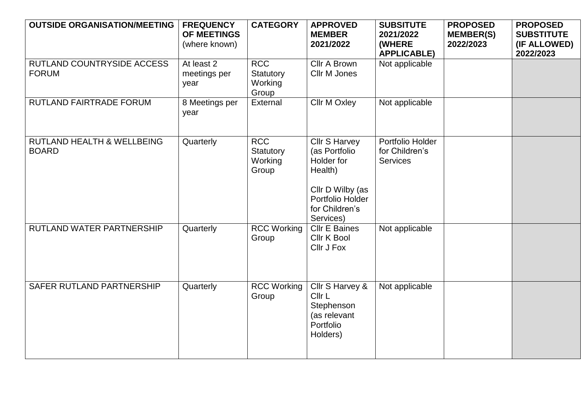| <b>OUTSIDE ORGANISATION/MEETING</b>        | <b>FREQUENCY</b><br><b>OF MEETINGS</b><br>(where known) | <b>CATEGORY</b>                             | <b>APPROVED</b><br><b>MEMBER</b><br>2021/2022                                                                                  | <b>SUBSITUTE</b><br>2021/2022<br>(WHERE<br><b>APPLICABLE)</b> | <b>PROPOSED</b><br><b>MEMBER(S)</b><br>2022/2023 | <b>PROPOSED</b><br><b>SUBSTITUTE</b><br>(IF ALLOWED)<br>2022/2023 |
|--------------------------------------------|---------------------------------------------------------|---------------------------------------------|--------------------------------------------------------------------------------------------------------------------------------|---------------------------------------------------------------|--------------------------------------------------|-------------------------------------------------------------------|
| RUTLAND COUNTRYSIDE ACCESS<br><b>FORUM</b> | At least 2<br>meetings per<br>year                      | <b>RCC</b><br>Statutory<br>Working<br>Group | Cllr A Brown<br>Cllr M Jones                                                                                                   | Not applicable                                                |                                                  |                                                                   |
| RUTLAND FAIRTRADE FORUM                    | 8 Meetings per<br>year                                  | External                                    | <b>Cllr M Oxley</b>                                                                                                            | Not applicable                                                |                                                  |                                                                   |
| RUTLAND HEALTH & WELLBEING<br><b>BOARD</b> | Quarterly                                               | <b>RCC</b><br>Statutory<br>Working<br>Group | Cllr S Harvey<br>(as Portfolio<br>Holder for<br>Health)<br>Cllr D Wilby (as<br>Portfolio Holder<br>for Children's<br>Services) | Portfolio Holder<br>for Children's<br><b>Services</b>         |                                                  |                                                                   |
| RUTLAND WATER PARTNERSHIP                  | Quarterly                                               | <b>RCC Working</b><br>Group                 | <b>Cllr E Baines</b><br>Cllr K Bool<br>Cllr J Fox                                                                              | Not applicable                                                |                                                  |                                                                   |
| SAFER RUTLAND PARTNERSHIP                  | Quarterly                                               | <b>RCC Working</b><br>Group                 | Cllr S Harvey &<br>Cllr L<br>Stephenson<br>(as relevant<br>Portfolio<br>Holders)                                               | Not applicable                                                |                                                  |                                                                   |